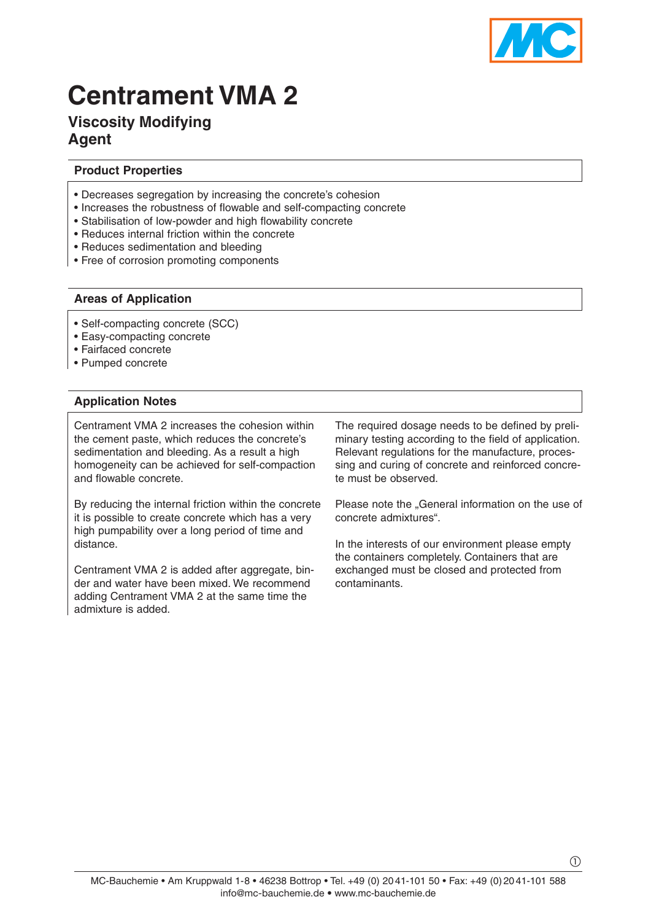

# **Centrament VMA 2**

# **Viscosity Modifying Agent**

# **Product Properties**

- Decreases segregation by increasing the concrete's cohesion
- Increases the robustness of flowable and self-compacting concrete
- Stabilisation of low-powder and high flowability concrete
- Reduces internal friction within the concrete
- Reduces sedimentation and bleeding
- Free of corrosion promoting components

#### **Areas of Application**

- Self-compacting concrete (SCC)
- Easy-compacting concrete
- Fairfaced concrete
- Pumped concrete

### **Application Notes**

Centrament VMA 2 increases the cohesion within the cement paste, which reduces the concrete's sedimentation and bleeding. As a result a high homogeneity can be achieved for self-compaction and flowable concrete.

By reducing the internal friction within the concrete it is possible to create concrete which has a very high pumpability over a long period of time and distance.

Centrament VMA 2 is added after aggregate, binder and water have been mixed. We recommend adding Centrament VMA 2 at the same time the admixture is added.

The required dosage needs to be defined by preliminary testing according to the field of application. Relevant regulations for the manufacture, processing and curing of concrete and reinforced concrete must be observed.

Please note the "General information on the use of concrete admixtures".

In the interests of our environment please empty the containers completely. Containers that are exchanged must be closed and protected from contaminants.